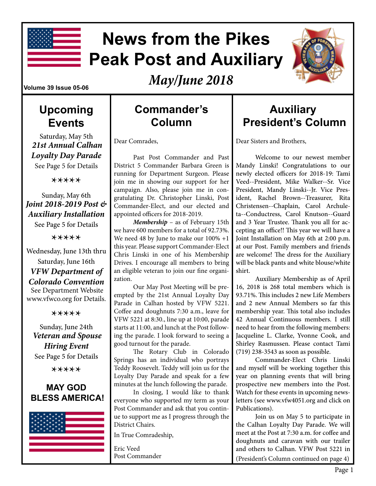

# **News from the Pikes Peak Post and Auxiliary**



*May/June 2018*

#### **Volume 39 Issue 05-06**

### **Upcoming Events**

Saturday, May 5th *21st Annual Calhan Loyalty Day Parade*  See Page 5 for Details

\*\*\*\*\*

Sunday, May 6th *Joint 2018-2019 Post & Auxiliary Installation* See Page 5 for Details

\*\*\*\*\*

Wednesday, June 13th thru Saturday, June 16th *VFW Department of Colorado Convention* See Department Website www.vfwco.org for Details.

\*\*\*\*\*

Sunday, June 24th *Veteran and Spouse Hiring Event*  See Page 5 for Details

\*\*\*\*\*

### **MAY GOD BLESS AMERICA!**



### **Commander's Column**

Dear Comrades,

Past Post Commander and Past District 5 Commander Barbara Green is running for Department Surgeon. Please join me in showing our support for her campaign. Also, please join me in congratulating Dr. Christopher Linski, Post Commander-Elect, and our elected and appointed officers for 2018-2019.

*Membership* – as of February 15th we have 600 members for a total of 92.73%. We need 48 by June to make our 100% +1 this year. Please support Commander-Elect Chris Linski in one of his Membership Drives. I encourage all members to bring an eligible veteran to join our fine organization.

Our May Post Meeting will be preempted by the 21st Annual Loyalty Day Parade in Calhan hosted by VFW 5221. Coffee and doughnuts 7:30 a.m., leave for VFW 5221 at 8:30., line up at 10:00, parade starts at 11:00, and lunch at the Post following the parade. I look forward to seeing a good turnout for the parade.

The Rotary Club in Colorado Springs has an individual who portrays Teddy Roosevelt. Teddy will join us for the Loyalty Day Parade and speak for a few minutes at the lunch following the parade.

In closing, I would like to thank everyone who supported my term as your Post Commander and ask that you continue to support me as I progress through the District Chairs.

In True Comradeship,

Eric Veed Post Commander

### **Auxiliary President's Column**

Dear Sisters and Brothers,

Welcome to our newest member Mandy Linski! Congratulations to our newly elected officers for 2018-19: Tami Veed--President, Mike Walker--Sr. Vice President, Mandy Linski--Jr. Vice President, Rachel Brown--Treasurer, Rita Christensen--Chaplain, Carol Archuleta--Conductress, Carol Knutson--Guard and 3 Year Trustee. Thank you all for accepting an office!! This year we will have a Joint Installation on May 6th at 2:00 p.m. at our Post. Family members and friends are welcome! The dress for the Auxiliary will be black pants and white blouse/white shirt.

Auxiliary Membership as of April 16, 2018 is 268 total members which is 93.71%. This includes 2 new Life Members and 2 new Annual Members so far this membership year. This total also includes 42 Annual Continuous members. I still need to hear from the following members: Jacqueline L. Clarke, Yvonne Cook, and Shirley Rasmussen. Please contact Tami (719) 238-3543 as soon as possible.

Commander-Elect Chris Linski and myself will be working together this year on planning events that will bring prospective new members into the Post. Watch for these events in upcoming newsletters (see www.vfw4051.org and click on Publications).

Join us on May 5 to participate in the Calhan Loyalty Day Parade. We will meet at the Post at 7:30 a.m. for coffee and doughnuts and caravan with our trailer and others to Calhan. VFW Post 5221 in (President's Column continued on page 4)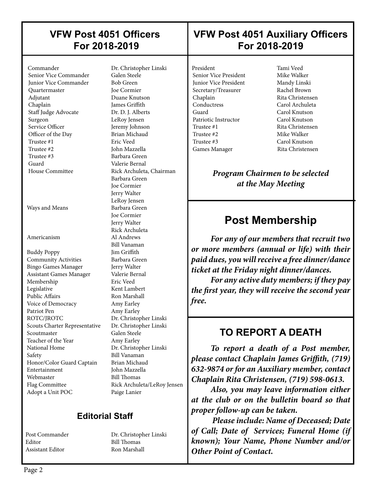### **VFW Post 4051 Officers For 2018-2019**

Senior Vice Commander **Junior Vice Commander** Bob Green Quartermaster Joe Cormier Adjutant Duane Knutson Chaplain James Griffith Staff Judge Advocate Dr. D. J. Alberts Surgeon LeRoy Jensen Service Officer Jeremy Johnson Officer of the Day Brian Michaud Trustee #1 Eric Veed Trustee #2 John Mazzella Trustee #3 Barbara Green Guard Valerie Bernal

 $\overline{\phantom{a}}$ 

Ways and Means Barbara Green

Buddy Poppy Jim Griffith Community Activities Barbara Green Bingo Games Manager Jerry Walter Assistant Games Manager Valerie Bernal Membership Eric Veed Legislative Kent Lambert Public Affairs Ron Marshall Voice of Democracy Amy Earley Patriot Pen Amy Earley ROTC/JROTC Dr. Christopher Linski Scouts Charter Representative Dr. Christopher Linski Scoutmaster Galen Steele Teacher of the Year **Amy Earley**  National Home Dr. Christopher Linski Safety Bill Vanaman Honor/Color Guard Captain Brian Michaud Entertainment John Mazzella Webmaster Bill Thomas Flag Committee Rick Archuleta/LeRoy Jensen Adopt a Unit POC Paige Lanier

 Commander Dr. Christopher Linski House Committee Rick Archuleta, Chairman Barbara Green Joe Cormier Jerry Walter LeRoy Jensen Joe Cormier Jerry Walter Rick Archuleta Americanism Al Andrews Bill Vanaman

### **Editorial Staff**

Editor Bill Thomas Assistant Editor Ron Marshall

Post Commander Dr. Christopher Linski

### **VFW Post 4051 Auxiliary Officers For 2018-2019**

President Tami Veed<br>
Senior Vice President Mike Walker Senior Vice President **Junior Vice President Mandy Linski** Secretary/Treasurer Rachel Brown Chaplain Rita Christensen<br>
Carol Archuleta<br>
Carol Archuleta Guard Carol Knutson Patriotic Instructor Carol Knutson Trustee #1 Rita Christensen Trustee #2 Mike Walker Trustee #3 Carol Knutson Games Manager Rita Christensen

 $\overline{\phantom{a}}$ 

Carol Archuleta

*Program Chairmen to be selected at the May Meeting*

### **Post Membership**

*For any of our members that recruit two or more members (annual or life) with their paid dues, you will receive a free dinner/dance ticket at the Friday night dinner/dances.*

*For any active duty members; if they pay the first year, they will receive the second year free.*

### **TO REPORT A DEATH**

*To report a death of a Post member, please contact Chaplain James Griffith, (719) 632-9874 or for an Auxiliary member, contact Chaplain Rita Christensen, (719) 598-0613.* 

*Also, you may leave information either at the club or on the bulletin board so that proper follow-up can be taken.* 

 *Please include: Name of Deceased; Date of Call; Date of Services; Funeral Home (if known); Your Name, Phone Number and/or Other Point of Contact.*

 $\overline{\phantom{a}}$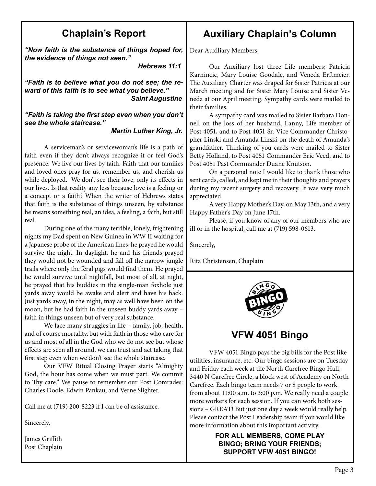### **Chaplain's Report**

*"Now faith is the substance of things hoped for, the evidence of things not seen."* 

 *Hebrews 11:1*

*"Faith is to believe what you do not see; the reward of this faith is to see what you believe." Saint Augustine*

*"Faith is taking the first step even when you don't see the whole staircase."* 

#### *Martin Luther King, Jr.*

A serviceman's or servicewoman's life is a path of faith even if they don't always recognize it or feel God's presence. We live our lives by faith. Faith that our families and loved ones pray for us, remember us, and cherish us while deployed. We don't see their love, only its effects in our lives. Is that reality any less because love is a feeling or a concept or a faith? When the writer of Hebrews states that faith is the substance of things unseen, by substance he means something real, an idea, a feeling, a faith, but still real.

During one of the many terrible, lonely, frightening nights my Dad spent on New Guinea in WW II waiting for a Japanese probe of the American lines, he prayed he would survive the night. In daylight, he and his friends prayed they would not be wounded and fall off the narrow jungle trails where only the feral pigs would find them. He prayed he would survive until nightfall, but most of all, at night, he prayed that his buddies in the single-man foxhole just yards away would be awake and alert and have his back. Just yards away, in the night, may as well have been on the moon, but he had faith in the unseen buddy yards away – faith in things unseen but of very real substance.

We face many struggles in life – family, job, health, and of course mortality, but with faith in those who care for us and most of all in the God who we do not see but whose effects are seen all around, we can trust and act taking that first step even when we don't see the whole staircase.

Our VFW Ritual Closing Prayer starts "Almighty God, the hour has come when we must part. We commit to Thy care." We pause to remember our Post Comrades: Charles Doole, Edwin Pankau, and Verne Slighter.

Call me at (719) 200-8223 if I can be of assistance.

Sincerely,

James Griffith Post Chaplain

### **Auxiliary Chaplain's Column**

Dear Auxiliary Members,

Our Auxiliary lost three Life members; Patricia Karnincic, Mary Louise Goodale, and Veneda Erftmeier. The Auxiliary Charter was draped for Sister Patricia at our March meeting and for Sister Mary Louise and Sister Veneda at our April meeting. Sympathy cards were mailed to their families.

A sympathy card was mailed to Sister Barbara Donnell on the loss of her husband, Lanny, Life member of Post 4051, and to Post 4051 Sr. Vice Commander Christopher Linski and Amanda Linski on the death of Amanda's grandfather. Thinking of you cards were mailed to Sister Betty Holland, to Post 4051 Commander Eric Veed, and to Post 4051 Past Commander Duane Knutson.

On a personal note I would like to thank those who sent cards, called, and kept me in their thoughts and prayers during my recent surgery and recovery. It was very much appreciated.

A very Happy Mother's Day, on May 13th, and a very Happy Father's Day on June 17th.

Please, if you know of any of our members who are ill or in the hospital, call me at (719) 598-0613.

Sincerely,

Rita Christensen, Chaplain



**VFW 4051 Bingo**

VFW 4051 Bingo pays the big bills for the Post like utilities, insurance, etc. Our bingo sessions are on Tuesday and Friday each week at the North Carefree Bingo Hall, 3440 N Carefree Circle, a block west of Academy on North Carefree. Each bingo team needs 7 or 8 people to work from about 11:00 a.m. to 3:00 p.m. We really need a couple more workers for each session. If you can work both sessions – GREAT! But just one day a week would really help. Please contact the Post Leadership team if you would like more information about this important activity.

#### **FOR ALL MEMBERS, COME PLAY BINGO; BRING YOUR FRIENDS; SUPPORT VFW 4051 BINGO!**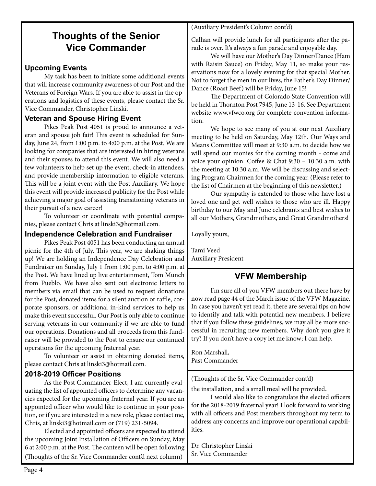### **Thoughts of the Senior Vice Commander**

#### **Upcoming Events**

My task has been to initiate some additional events that will increase community awareness of our Post and the Veterans of Foreign Wars. If you are able to assist in the operations and logistics of these events, please contact the Sr. Vice Commander, Christopher Linski.

#### **Veteran and Spouse Hiring Event**

Pikes Peak Post 4051 is proud to announce a veteran and spouse job fair! This event is scheduled for Sunday, June 24, from 1:00 p.m. to 4:00 p.m. at the Post. We are looking for companies that are interested in hiring veterans and their spouses to attend this event. We will also need a few volunteers to help set up the event, check-in attendees, and provide membership information to eligible veterans. This will be a joint event with the Post Auxiliary. We hope this event will provide increased publicity for the Post while achieving a major goal of assisting transitioning veterans in their pursuit of a new career!

To volunteer or coordinate with potential companies, please contact Chris at linski3@hotmail.com.

#### **Independence Celebration and Fundraiser**

Pikes Peak Post 4051 has been conducting an annual picnic for the 4th of July. This year, we are shaking things up! We are holding an Independence Day Celebration and Fundraiser on Sunday, July 1 from 1:00 p.m. to 4:00 p.m. at the Post. We have lined up live entertainment, Tom Munch from Pueblo. We have also sent out electronic letters to members via email that can be used to request donations for the Post, donated items for a silent auction or raffle, corporate sponsors, or additional in-kind services to help us make this event successful. Our Post is only able to continue serving veterans in our community if we are able to fund our operations. Donations and all proceeds from this fundraiser will be provided to the Post to ensure our continued operations for the upcoming fraternal year.

To volunteer or assist in obtaining donated items, please contact Chris at linski3@hotmail.com.

#### **2018-2019 Officer Positions**

As the Post Commander-Elect, I am currently evaluating the list of appointed officers to determine any vacancies expected for the upcoming fraternal year. If you are an appointed officer who would like to continue in your position, or if you are interested in a new role, please contact me, Chris, at linski3@hotmail.com or (719) 231-5094.

Elected and appointed officers are expected to attend the upcoming Joint Installation of Officers on Sunday, May 6 at 2:00 p.m. at the Post. The canteen will be open following (Thoughts of the Sr. Vice Commander cont'd next column)

(Auxiliary President's Column cont'd)

Calhan will provide lunch for all participants after the parade is over. It's always a fun parade and enjoyable day.

We will have our Mother's Day Dinner/Dance (Ham with Raisin Sauce) on Friday, May 11, so make your reservations now for a lovely evening for that special Mother. Not to forget the men in our lives, the Father's Day Dinner/ Dance (Roast Beef) will be Friday, June 15!

The Department of Colorado State Convention will be held in Thornton Post 7945, June 13-16. See Department website www.vfwco.org for complete convention information.

We hope to see many of you at our next Auxiliary meeting to be held on Saturday, May 12th. Our Ways and Means Committee will meet at 9:30 a.m. to decide how we will spend our monies for the coming month - come and voice your opinion. Coffee & Chat 9:30 – 10:30 a.m. with the meeting at 10:30 a.m. We will be discussing and selecting Program Chairmen for the coming year. (Please refer to the list of Chairmen at the beginning of this newsletter.)

Our sympathy is extended to those who have lost a loved one and get well wishes to those who are ill. Happy birthday to our May and June celebrants and best wishes to all our Mothers, Grandmothers, and Great Grandmothers!

Loyally yours,

Tami Veed Auxiliary President

### **VFW Membership**

I'm sure all of you VFW members out there have by now read page 44 of the March issue of the VFW Magazine. In case you haven't yet read it, there are several tips on how to identify and talk with potential new members. I believe that if you follow these guidelines, we may all be more successful in recruiting new members. Why don't you give it try? If you don't have a copy let me know; I can help.

Ron Marshall, Past Commander

(Thoughts of the Sr. Vice Commander cont'd)

the installation, and a small meal will be provided.

I would also like to congratulate the elected officers for the 2018-2019 fraternal year! I look forward to working with all officers and Post members throughout my term to address any concerns and improve our operational capabilities.

Dr. Christopher Linski Sr. Vice Commander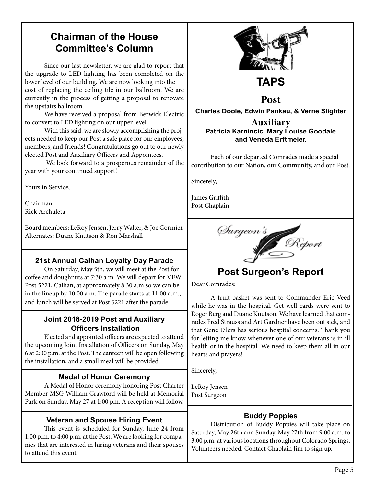### **Chairman of the House Committee's Column**

Since our last newsletter, we are glad to report that the upgrade to LED lighting has been completed on the lower level of our building. We are now looking into the cost of replacing the ceiling tile in our ballroom. We are currently in the process of getting a proposal to renovate the upstairs ballroom.

We have received a proposal from Berwick Electric to convert to LED lighting on our upper level.

With this said, we are slowly accomplishing the projects needed to keep our Post a safe place for our employees, members, and friends! Congratulations go out to our newly elected Post and Auxiliary Officers and Appointees.

 We look forward to a prosperous remainder of the year with your continued support!

Yours in Service,

Chairman, Rick Archuleta

Board members: LeRoy Jensen, Jerry Walter, & Joe Cormier. Alternates: Duane Knutson & Ron Marshall

#### **21st Annual Calhan Loyalty Day Parade**

On Saturday, May 5th, we will meet at the Post for coffee and doughnuts at 7:30 a.m. We will depart for VFW Post 5221, Calhan, at approxmately 8:30 a.m so we can be in the lineup by 10:00 a.m. The parade starts at 11:00 a.m., and lunch will be served at Post 5221 after the parade.

#### **Joint 2018-2019 Post and Auxiliary Officers Installation**

Elected and appointed officers are expected to attend the upcoming Joint Installation of Officers on Sunday, May 6 at 2:00 p.m. at the Post. The canteen will be open following the installation, and a small meal will be provided.

#### **Medal of Honor Ceremony**

A Medal of Honor ceremony honoring Post Charter Member MSG William Crawford will be held at Memorial Park on Sunday, May 27 at 1:00 pm. A reception will follow.

#### **Veteran and Spouse Hiring Event**

This event is scheduled for Sunday, June 24 from 1:00 p.m. to 4:00 p.m. at the Post. We are looking for companies that are interested in hiring veterans and their spouses to attend this event.



### **Post**

**Charles Doole, Edwin Pankau, & Verne Slighter Auxiliary**

#### **Patricia Karnincic, Mary Louise Goodale and Veneda Erftmeier**.

Each of our departed Comrades made a special contribution to our Nation, our Community, and our Post.

Sincerely,

James Griffith Post Chaplain



### **Post Surgeon's Report**

Dear Comrades:

A fruit basket was sent to Commander Eric Veed while he was in the hospital. Get well cards were sent to Roger Berg and Duane Knutson. We have learned that comrades Fred Strauss and Art Gardner have been out sick, and that Gene Eilers has serious hospital concerns. Thank you for letting me know whenever one of our veterans is in ill health or in the hospital. We need to keep them all in our hearts and prayers!

Sincerely,

LeRoy Jensen Post Surgeon

#### **Buddy Poppies**

Distribution of Buddy Poppies will take place on Saturday, May 26th and Sunday, May 27th from 9:00 a.m. to 3:00 p.m. at various locations throughout Colorado Springs. Volunteers needed. Contact Chaplain Jim to sign up.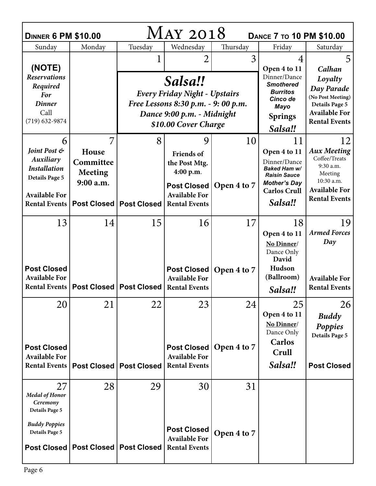| MAY 2018<br><b>DINNER 6 PM \$10.00</b><br><b>DANCE 7 TO 10 PM \$10.00</b> |                                            |                                  |                                                                                                                      |                           |                                                                                                                   |                                                                                                   |  |  |  |  |
|---------------------------------------------------------------------------|--------------------------------------------|----------------------------------|----------------------------------------------------------------------------------------------------------------------|---------------------------|-------------------------------------------------------------------------------------------------------------------|---------------------------------------------------------------------------------------------------|--|--|--|--|
| Sunday                                                                    | Monday                                     | Tuesday                          | Wednesday                                                                                                            | Thursday                  | Friday                                                                                                            | Saturday                                                                                          |  |  |  |  |
| (NOTE)                                                                    |                                            |                                  | 2                                                                                                                    | 3                         | 4<br>Open 4 to 11                                                                                                 | 5<br>Calhan                                                                                       |  |  |  |  |
| <b>Reservations</b><br>Required<br><b>For</b><br><b>Dinner</b><br>Call    |                                            |                                  | Salsa!!<br><b>Every Friday Night - Upstairs</b><br>Free Lessons 8:30 p.m. - 9: 00 p.m.<br>Dance 9:00 p.m. - Midnight |                           | Dinner/Dance<br><b>Smothered</b><br><b>Burritos</b><br>Cinco de<br><b>Mayo</b>                                    | Loyalty<br>Day Parade<br>(No Post Meeting)<br><b>Details Page 5</b><br><b>Available For</b>       |  |  |  |  |
| $(719) 632 - 9874$                                                        |                                            |                                  | \$10.00 Cover Charge                                                                                                 | <b>Springs</b><br>Salsa!! | <b>Rental Events</b>                                                                                              |                                                                                                   |  |  |  |  |
| 6                                                                         | 7                                          | 8                                | 9                                                                                                                    | 10                        | 11                                                                                                                | 12                                                                                                |  |  |  |  |
| Joint Post &<br>Auxiliary<br><b>Installation</b><br><b>Details Page 5</b> | House<br>Committee<br>Meeting<br>9:00 a.m. |                                  | <b>Friends of</b><br>the Post Mtg.<br>4:00 p.m.<br><b>Post Closed</b>                                                | Open 4 to 7               | Open 4 to 11<br>Dinner/Dance<br>Baked Ham w/<br><b>Raisin Sauce</b><br><b>Mother's Day</b><br><b>Carlos Crull</b> | <b>Aux Meeting</b><br>Coffee/Treats<br>9:30 a.m.<br>Meeting<br>10:30 a.m.<br><b>Available For</b> |  |  |  |  |
| <b>Available For</b><br><b>Rental Events</b>                              |                                            | Post Closed   Post Closed        | <b>Available For</b><br><b>Rental Events</b>                                                                         |                           | Salsa!!                                                                                                           | <b>Rental Events</b>                                                                              |  |  |  |  |
| 13                                                                        | 14                                         | 15                               | 16                                                                                                                   | 17                        | 18<br>Open 4 to 11<br>No Dinner/<br>Dance Only<br>David                                                           | 19<br><b>Armed Forces</b><br>Day                                                                  |  |  |  |  |
| <b>Post Closed</b><br><b>Available For</b><br><b>Rental Events</b>        |                                            | <b>Post Closed   Post Closed</b> | Post Closed<br><b>Available For</b><br><b>Rental Events</b>                                                          | Open 4 to 7               | Hudson<br>(Ballroom)<br>Salsa!!                                                                                   | <b>Available For</b><br><b>Rental Events</b>                                                      |  |  |  |  |
| 20<br><b>Post Closed</b><br><b>Available For</b>                          | 21                                         | 22                               | 23<br>Post Closed<br><b>Available For</b>                                                                            | 24<br>Open 4 to 7         | 25<br>Open 4 to 11<br>No Dinner/<br>Dance Only<br>Carlos<br>Crull                                                 | 26<br><b>Buddy</b><br>Poppies<br><b>Details Page 5</b>                                            |  |  |  |  |
| <b>Rental Events</b>                                                      |                                            | <b>Post Closed   Post Closed</b> | <b>Rental Events</b>                                                                                                 |                           | Salsa‼                                                                                                            | <b>Post Closed</b>                                                                                |  |  |  |  |
| 27<br><b>Medal of Honor</b><br>Ceremony<br>Details Page 5                 | 28                                         | 29                               | 30                                                                                                                   | 31                        |                                                                                                                   |                                                                                                   |  |  |  |  |
| <b>Buddy Poppies</b><br><b>Details Page 5</b>                             | Post Closed   Post Closed   Post Closed    |                                  | <b>Post Closed</b><br><b>Available For</b><br><b>Rental Events</b>                                                   | Open 4 to 7               |                                                                                                                   |                                                                                                   |  |  |  |  |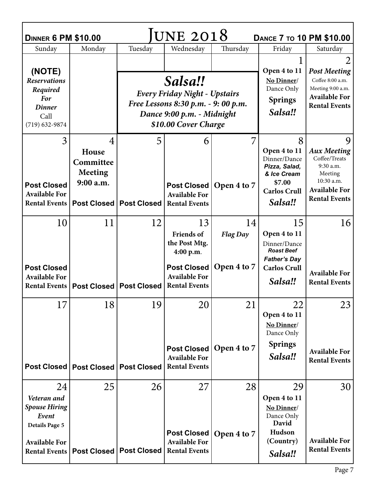| JUNE 2018<br><b>DINNER 6 PM \$10.00</b><br><b>DANCE 7 TO 10 PM \$10.00</b>                                           |                                                        |                                        |                                                                                                                                              |                                                                       |                                                                                                                  |                                                                                                                                |  |  |  |
|----------------------------------------------------------------------------------------------------------------------|--------------------------------------------------------|----------------------------------------|----------------------------------------------------------------------------------------------------------------------------------------------|-----------------------------------------------------------------------|------------------------------------------------------------------------------------------------------------------|--------------------------------------------------------------------------------------------------------------------------------|--|--|--|
| Sunday                                                                                                               | Monday                                                 | Tuesday                                | Wednesday                                                                                                                                    | Thursday                                                              | Friday                                                                                                           | Saturday                                                                                                                       |  |  |  |
| (NOTE)<br><b>Reservations</b><br>Required<br>For<br><b>Dinner</b><br>Call<br>$(719)$ 632-9874                        |                                                        |                                        | Salsa!!<br><b>Every Friday Night - Upstairs</b><br>Free Lessons 8:30 p.m. - 9: 00 p.m.<br>Dance 9:00 p.m. - Midnight<br>\$10.00 Cover Charge | Open 4 to 11<br>No Dinner/<br>Dance Only<br><b>Springs</b><br>Salsa!! | <b>Post Meeting</b><br>Coffee 8:00 a.m.<br>Meeting 9:00 a.m.<br><b>Available For</b><br><b>Rental Events</b>     |                                                                                                                                |  |  |  |
| 3<br><b>Post Closed</b><br><b>Available For</b><br><b>Rental Events</b>                                              | 4<br>House<br>Committee<br><b>Meeting</b><br>9:00 a.m. | 5<br><b>Post Closed   Post Closed</b>  | 6<br><b>Post Closed</b><br><b>Available For</b><br><b>Rental Events</b>                                                                      | 7<br>Open 4 to 7                                                      | 8<br>Open 4 to 11<br>Dinner/Dance<br>Pizza, Salad,<br>& Ice Cream<br>\$7.00<br><b>Carlos Crull</b><br>Salsa!!    | 9<br><b>Aux Meeting</b><br>Coffee/Treats<br>9:30 a.m.<br>Meeting<br>10:30 a.m.<br><b>Available For</b><br><b>Rental Events</b> |  |  |  |
| 10<br><b>Post Closed</b><br><b>Available For</b><br><b>Rental Events</b>                                             | 11                                                     | 12<br><b>Post Closed   Post Closed</b> | 13<br>Friends of<br>the Post Mtg.<br>4:00 p.m.<br><b>Post Closed</b><br><b>Available For</b><br><b>Rental Events</b>                         | 14<br><b>Flag Day</b><br>Open 4 to 7                                  | 15<br>Open 4 to 11<br>Dinner/Dance<br><b>Roast Beef</b><br><b>Father's Day</b><br><b>Carlos Crull</b><br>Salsa!! | 16<br><b>Available For</b><br><b>Rental Events</b>                                                                             |  |  |  |
| 17                                                                                                                   | 18<br>Post Closed   Post Closed   Post Closed          | 19                                     | 20<br><b>Post Closed</b><br><b>Available For</b><br><b>Rental Events</b>                                                                     | 21<br>Open 4 to 7                                                     | 22<br>Open 4 to 11<br>No Dinner/<br>Dance Only<br><b>Springs</b><br>Salsa!!                                      | 23<br><b>Available For</b><br><b>Rental Events</b>                                                                             |  |  |  |
| 24<br>Veteran and<br><b>Spouse Hiring</b><br>Event<br>Details Page 5<br><b>Available For</b><br><b>Rental Events</b> | 25                                                     | 26<br>Post Closed   Post Closed        | 27<br><b>Post Closed</b><br><b>Available For</b><br><b>Rental Events</b>                                                                     | 28<br>Open 4 to 7                                                     | 29<br>Open 4 to 11<br>No Dinner/<br>Dance Only<br>David<br>Hudson<br>(Country)<br>Salsa!!                        | 30<br><b>Available For</b><br><b>Rental Events</b>                                                                             |  |  |  |

г